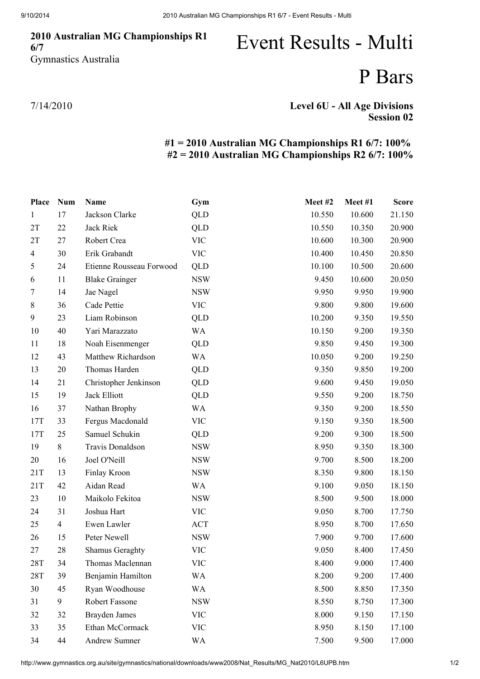### 2010 Australian MG Championships R1 6/7 Gymnastics Australia

# Event Results - Multi

## P Bars

7/14/2010

### Level 6U - All Age Divisions Session 02

### #1 = 2010 Australian MG Championships R1 6/7: 100% #2 = 2010 Australian MG Championships R2 6/7: 100%

| Place          | <b>Num</b>     | <b>Name</b>              | Gym        | Meet#2 | Meet #1 | <b>Score</b> |
|----------------|----------------|--------------------------|------------|--------|---------|--------------|
| $\mathbf{1}$   | 17             | Jackson Clarke           | QLD        | 10.550 | 10.600  | 21.150       |
| 2T             | 22             | Jack Riek                | QLD        | 10.550 | 10.350  | 20.900       |
| 2T             | 27             | Robert Crea              | <b>VIC</b> | 10.600 | 10.300  | 20.900       |
| $\overline{4}$ | 30             | Erik Grabandt            | <b>VIC</b> | 10.400 | 10.450  | 20.850       |
| 5              | 24             | Etienne Rousseau Forwood | QLD        | 10.100 | 10.500  | 20.600       |
| 6              | 11             | <b>Blake Grainger</b>    | <b>NSW</b> | 9.450  | 10.600  | 20.050       |
| 7              | 14             | Jae Nagel                | <b>NSW</b> | 9.950  | 9.950   | 19.900       |
| $8\,$          | 36             | Cade Pettie              | <b>VIC</b> | 9.800  | 9.800   | 19.600       |
| 9              | 23             | Liam Robinson            | <b>QLD</b> | 10.200 | 9.350   | 19.550       |
| 10             | 40             | Yari Marazzato           | WA         | 10.150 | 9.200   | 19.350       |
| 11             | 18             | Noah Eisenmenger         | <b>QLD</b> | 9.850  | 9.450   | 19.300       |
| 12             | 43             | Matthew Richardson       | WA         | 10.050 | 9.200   | 19.250       |
| 13             | 20             | Thomas Harden            | QLD        | 9.350  | 9.850   | 19.200       |
| 14             | 21             | Christopher Jenkinson    | <b>QLD</b> | 9.600  | 9.450   | 19.050       |
| 15             | 19             | Jack Elliott             | <b>QLD</b> | 9.550  | 9.200   | 18.750       |
| 16             | 37             | Nathan Brophy            | WA         | 9.350  | 9.200   | 18.550       |
| 17T            | 33             | Fergus Macdonald         | <b>VIC</b> | 9.150  | 9.350   | 18.500       |
| 17T            | 25             | Samuel Schukin           | QLD        | 9.200  | 9.300   | 18.500       |
| 19             | $8\,$          | Travis Donaldson         | <b>NSW</b> | 8.950  | 9.350   | 18.300       |
| 20             | 16             | Joel O'Neill             | <b>NSW</b> | 9.700  | 8.500   | 18.200       |
| 21T            | 13             | Finlay Kroon             | <b>NSW</b> | 8.350  | 9.800   | 18.150       |
| 21T            | 42             | Aidan Read               | <b>WA</b>  | 9.100  | 9.050   | 18.150       |
| 23             | 10             | Maikolo Fekitoa          | <b>NSW</b> | 8.500  | 9.500   | 18.000       |
| 24             | 31             | Joshua Hart              | <b>VIC</b> | 9.050  | 8.700   | 17.750       |
| 25             | $\overline{4}$ | Ewen Lawler              | ACT        | 8.950  | 8.700   | 17.650       |
| 26             | 15             | Peter Newell             | <b>NSW</b> | 7.900  | 9.700   | 17.600       |
| 27             | 28             | <b>Shamus Geraghty</b>   | <b>VIC</b> | 9.050  | 8.400   | 17.450       |
| 28T            | 34             | Thomas Maclennan         | <b>VIC</b> | 8.400  | 9.000   | 17.400       |
| <b>28T</b>     | 39             | Benjamin Hamilton        | <b>WA</b>  | 8.200  | 9.200   | 17.400       |
| 30             | 45             | Ryan Woodhouse           | <b>WA</b>  | 8.500  | 8.850   | 17.350       |
| 31             | 9              | Robert Fassone           | <b>NSW</b> | 8.550  | 8.750   | 17.300       |
| 32             | 32             | <b>Brayden James</b>     | <b>VIC</b> | 8.000  | 9.150   | 17.150       |
| 33             | 35             | Ethan McCormack          | <b>VIC</b> | 8.950  | 8.150   | 17.100       |
| 34             | 44             | Andrew Sumner            | WA         | 7.500  | 9.500   | 17.000       |